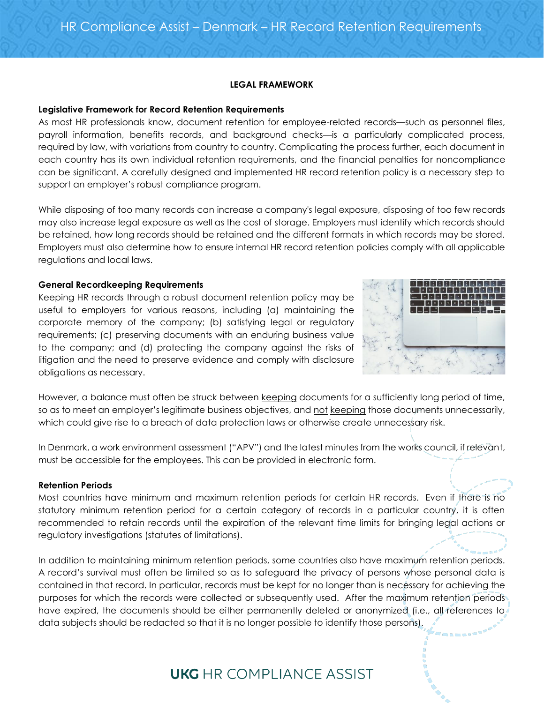### **LEGAL FRAMEWORK**

### **Legislative Framework for Record Retention Requirements**

As most HR professionals know, document retention for employee-related records—such as personnel files, payroll information, benefits records, and background checks—is a particularly complicated process, required by law, with variations from country to country. Complicating the process further, each document in each country has its own individual retention requirements, and the financial penalties for noncompliance can be significant. A carefully designed and implemented HR record retention policy is a necessary step to support an employer's robust compliance program.

While disposing of too many records can increase a company's legal exposure, disposing of too few records may also increase legal exposure as well as the cost of storage. Employers must identify which records should be retained, how long records should be retained and the different formats in which records may be stored. Employers must also determine how to ensure internal HR record retention policies comply with all applicable regulations and local laws.

## **General Recordkeeping Requirements**

Keeping HR records through a robust document retention policy may be useful to employers for various reasons, including (a) maintaining the corporate memory of the company; (b) satisfying legal or regulatory requirements; (c) preserving documents with an enduring business value to the company; and (d) protecting the company against the risks of litigation and the need to preserve evidence and comply with disclosure obligations as necessary.



However, a balance must often be struck between keeping documents for a sufficiently long period of time, so as to meet an employer's legitimate business objectives, and not keeping those documents unnecessarily, which could give rise to a breach of data protection laws or otherwise create unnecessary risk.

In Denmark, a work environment assessment ("APV") and the latest minutes from the works council, if relevant, must be accessible for the employees. This can be provided in electronic form.

### **Retention Periods**

Most countries have minimum and maximum retention periods for certain HR records. Even if there is no statutory minimum retention period for a certain category of records in a particular country, it is often recommended to retain records until the expiration of the relevant time limits for bringing legal actions or regulatory investigations (statutes of limitations).

In addition to maintaining minimum retention periods, some countries also have maximum retention periods. A record's survival must often be limited so as to safeguard the privacy of persons whose personal data is contained in that record. In particular, records must be kept for no longer than is necessary for achieving the purposes for which the records were collected or subsequently used. After the maximum retention periods have expired, the documents should be either permanently deleted or anonymized (i.e., all references to data subjects should be redacted so that it is no longer possible to identify those persons).

# **UKG** HR COMPLIANCE ASSIST